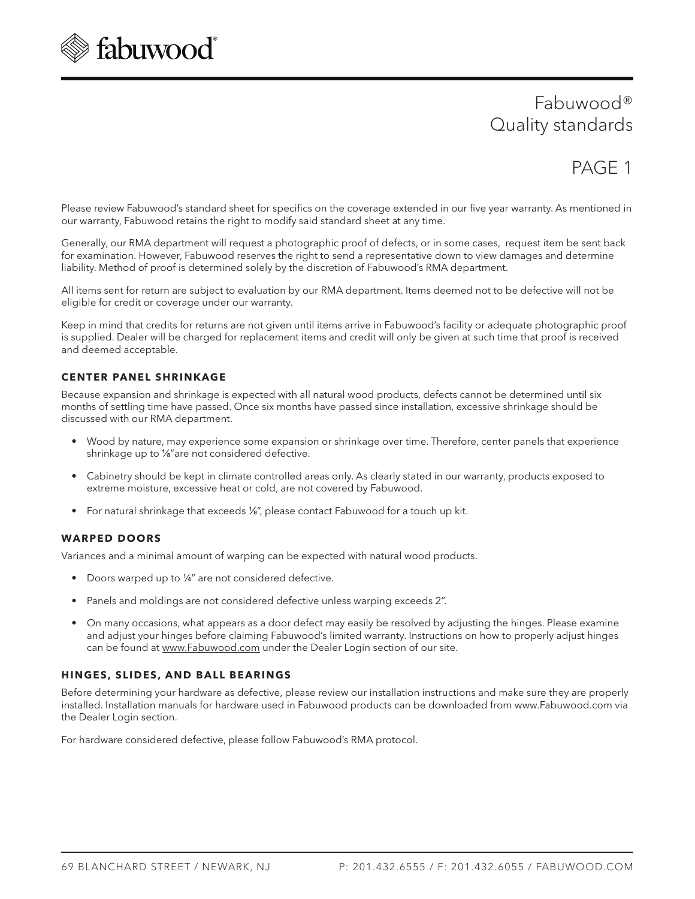

# Fabuwood® Quality standards

# PAGE 1

Please review Fabuwood's standard sheet for specifics on the coverage extended in our five year warranty. As mentioned in our warranty, Fabuwood retains the right to modify said standard sheet at any time.

Generally, our RMA department will request a photographic proof of defects, or in some cases, request item be sent back for examination. However, Fabuwood reserves the right to send a representative down to view damages and determine liability. Method of proof is determined solely by the discretion of Fabuwood's RMA department.

All items sent for return are subject to evaluation by our RMA department. Items deemed not to be defective will not be eligible for credit or coverage under our warranty.

Keep in mind that credits for returns are not given until items arrive in Fabuwood's facility or adequate photographic proof is supplied. Dealer will be charged for replacement items and credit will only be given at such time that proof is received and deemed acceptable.

## **CENTER PANEL SHRINKAGE**

Because expansion and shrinkage is expected with all natural wood products, defects cannot be determined until six months of settling time have passed. Once six months have passed since installation, excessive shrinkage should be discussed with our RMA department.

- Wood by nature, may experience some expansion or shrinkage over time. Therefore, center panels that experience shrinkage up to 1/8" are not considered defective.
- Cabinetry should be kept in climate controlled areas only. As clearly stated in our warranty, products exposed to extreme moisture, excessive heat or cold, are not covered by Fabuwood.
- For natural shrinkage that exceeds 1%", please contact Fabuwood for a touch up kit.

## **WARPED DOORS**

Variances and a minimal amount of warping can be expected with natural wood products.

- Doors warped up to ¼" are not considered defective.
- Panels and moldings are not considered defective unless warping exceeds 2".
- On many occasions, what appears as a door defect may easily be resolved by adjusting the hinges. Please examine and adjust your hinges before claiming Fabuwood's limited warranty. Instructions on how to properly adjust hinges can be found at www.Fabuwood.com under the Dealer Login section of our site.

# **HINGES, SLIDES, AND BALL BEARINGS**

Before determining your hardware as defective, please review our installation instructions and make sure they are properly installed. Installation manuals for hardware used in Fabuwood products can be downloaded from www.Fabuwood.com via the Dealer Login section.

For hardware considered defective, please follow Fabuwood's RMA protocol.